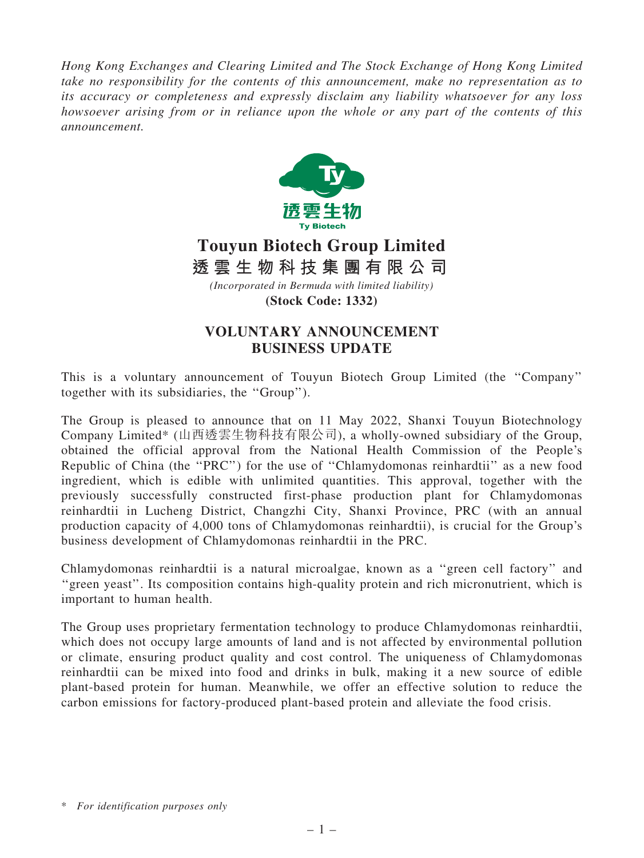*Hong Kong Exchanges and Clearing Limited and The Stock Exchange of Hong Kong Limited take no responsibility for the contents of this announcement, make no representation as to its accuracy or completeness and expressly disclaim any liability whatsoever for any loss howsoever arising from or in reliance upon the whole or any part of the contents of this announcement.*



## **Touyun Biotech Group Limited**

*(Incorporated in Bermuda with limited liability)* **透 雲 生 物 科 技 集 團 有 限 公 司**

**(Stock Code: 1332)**

## VOLUNTARY ANNOUNCEMENT BUSINESS UPDATE

This is a voluntary announcement of Touyun Biotech Group Limited (the ''Company'' together with its subsidiaries, the ''Group'').

The Group is pleased to announce that on 11 May 2022, Shanxi Touyun Biotechnology Company Limited\* (山西透雲生物科技有限公司), a wholly-owned subsidiary of the Group, obtained the official approval from the National Health Commission of the People's Republic of China (the ''PRC'') for the use of ''Chlamydomonas reinhardtii'' as a new food ingredient, which is edible with unlimited quantities. This approval, together with the previously successfully constructed first-phase production plant for Chlamydomonas reinhardtii in Lucheng District, Changzhi City, Shanxi Province, PRC (with an annual production capacity of 4,000 tons of Chlamydomonas reinhardtii), is crucial for the Group's business development of Chlamydomonas reinhardtii in the PRC.

Chlamydomonas reinhardtii is a natural microalgae, known as a ''green cell factory'' and "green yeast". Its composition contains high-quality protein and rich micronutrient, which is important to human health.

The Group uses proprietary fermentation technology to produce Chlamydomonas reinhardtii, which does not occupy large amounts of land and is not affected by environmental pollution or climate, ensuring product quality and cost control. The uniqueness of Chlamydomonas reinhardtii can be mixed into food and drinks in bulk, making it a new source of edible plant-based protein for human. Meanwhile, we offer an effective solution to reduce the carbon emissions for factory-produced plant-based protein and alleviate the food crisis.

<sup>\*</sup> *For identification purposes only*